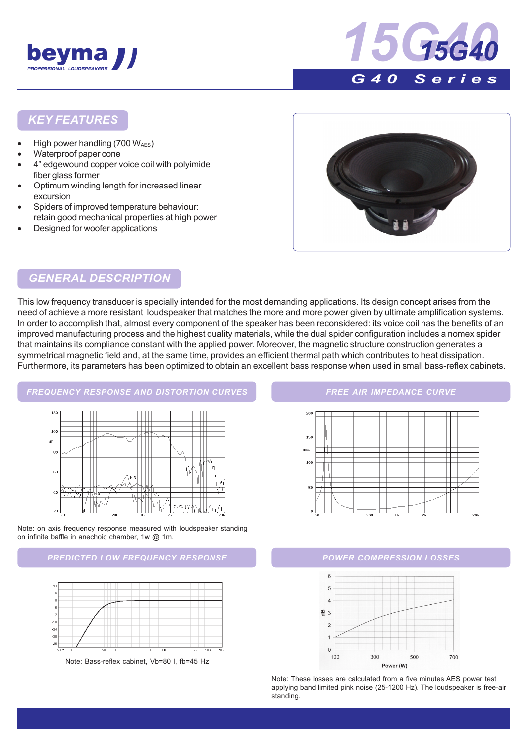



### *KEY FEATURES*

- High power handling  $(700 W_{AES})$
- Waterproof paper cone
- 4" edgewound copper voice coil with polyimide fiber glass former
- Optimum winding length for increased linear excursion
- Spiders of improved temperature behaviour: retain good mechanical properties at high power
- Designed for woofer applications



### *GENERAL DESCRIPTION*

This low frequency transducer is specially intended for the most demanding applications. Its design concept arises from the need of achieve a more resistant loudspeaker that matches the more and more power given by ultimate amplification systems. In order to accomplish that, almost every component of the speaker has been reconsidered: its voice coil has the benefits of an improved manufacturing process and the highest quality materials, while the dual spider configuration includes a nomex spider that maintains its compliance constant with the applied power. Moreover, the magnetic structure construction generates a symmetrical magnetic field and, at the same time, provides an efficient thermal path which contributes to heat dissipation. Furthermore, its parameters has been optimized to obtain an excellent bass response when used in small bass-reflex cabinets.

# *FREQUENCY RESPONSE AND DISTORTION CURVES*  $12$  $10<sup>°</sup>$  $\overline{d}$  $\mathbf{R}$  $60$

W

<u>K PAMWULA</u>

Note: on axis frequency response measured with loudspeaker standing on infinite baffle in anechoic chamber, 1w @ 1m.

 $^{20}$ 





Note: Bass-reflex cabinet, Vb=80 l, fb=45 Hz

#### *FREE AIR IMPEDANCE CURVE*





Note: These losses are calculated from a five minutes AES power test applying band limited pink noise (25-1200 Hz). The loudspeaker is free-air standing.